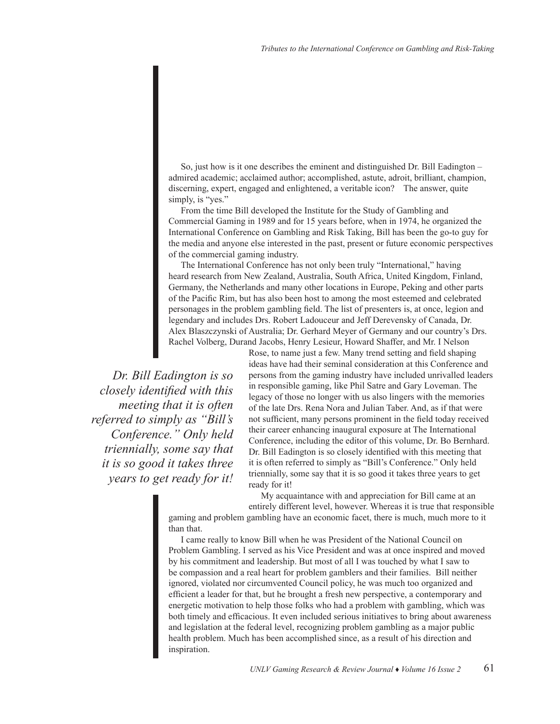So, just how is it one describes the eminent and distinguished Dr. Bill Eadington – admired academic; acclaimed author; accomplished, astute, adroit, brilliant, champion, discerning, expert, engaged and enlightened, a veritable icon? The answer, quite simply, is "yes."

From the time Bill developed the Institute for the Study of Gambling and Commercial Gaming in 1989 and for 15 years before, when in 1974, he organized the International Conference on Gambling and Risk Taking, Bill has been the go-to guy for the media and anyone else interested in the past, present or future economic perspectives of the commercial gaming industry.

The International Conference has not only been truly "International," having heard research from New Zealand, Australia, South Africa, United Kingdom, Finland, Germany, the Netherlands and many other locations in Europe, Peking and other parts of the Pacific Rim, but has also been host to among the most esteemed and celebrated personages in the problem gambling field. The list of presenters is, at once, legion and legendary and includes Drs. Robert Ladouceur and Jeff Derevensky of Canada, Dr. Alex Blaszczynski of Australia; Dr. Gerhard Meyer of Germany and our country's Drs. Rachel Volberg, Durand Jacobs, Henry Lesieur, Howard Shaffer, and Mr. I Nelson

 *Dr. Bill Eadington is so closely identified with this meeting that it is often referred to simply as "Bill's Conference." Only held triennially, some say that it is so good it takes three years to get ready for it!*

Rose, to name just a few. Many trend setting and field shaping ideas have had their seminal consideration at this Conference and persons from the gaming industry have included unrivalled leaders in responsible gaming, like Phil Satre and Gary Loveman. The legacy of those no longer with us also lingers with the memories of the late Drs. Rena Nora and Julian Taber. And, as if that were not sufficient, many persons prominent in the field today received their career enhancing inaugural exposure at The International Conference, including the editor of this volume, Dr. Bo Bernhard. Dr. Bill Eadington is so closely identified with this meeting that it is often referred to simply as "Bill's Conference." Only held triennially, some say that it is so good it takes three years to get ready for it!

My acquaintance with and appreciation for Bill came at an entirely different level, however. Whereas it is true that responsible

gaming and problem gambling have an economic facet, there is much, much more to it than that.

I came really to know Bill when he was President of the National Council on Problem Gambling. I served as his Vice President and was at once inspired and moved by his commitment and leadership. But most of all I was touched by what I saw to be compassion and a real heart for problem gamblers and their families. Bill neither ignored, violated nor circumvented Council policy, he was much too organized and efficient a leader for that, but he brought a fresh new perspective, a contemporary and energetic motivation to help those folks who had a problem with gambling, which was both timely and efficacious. It even included serious initiatives to bring about awareness and legislation at the federal level, recognizing problem gambling as a major public health problem. Much has been accomplished since, as a result of his direction and inspiration.